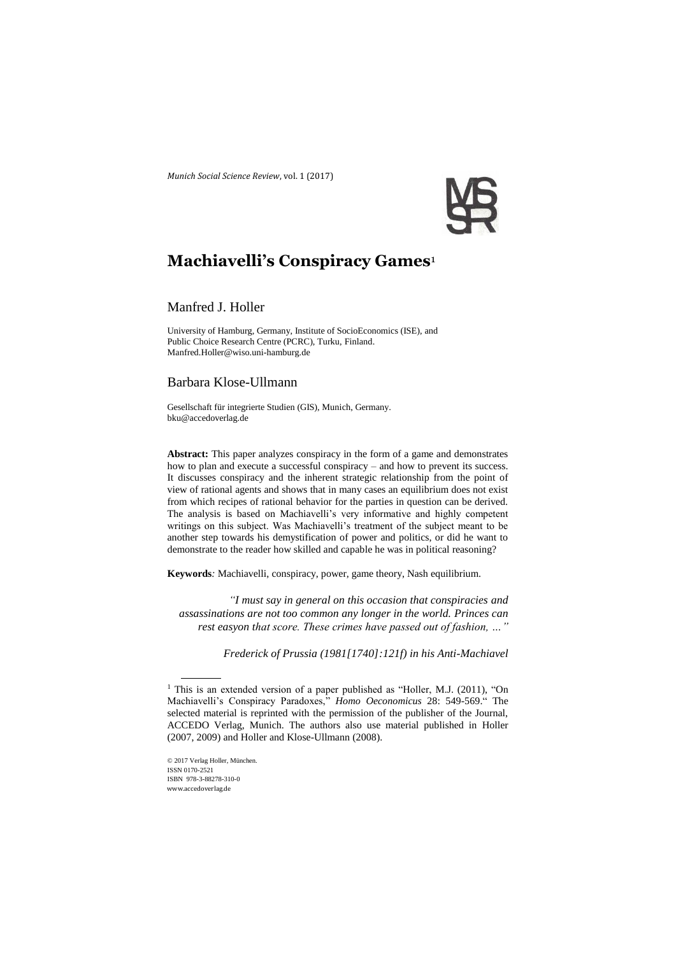*Munich Social Science Review*, vol. 1 (2017)



# **Machiavelli's Conspiracy Games**<sup>1</sup>

# Manfred J. Holler

University of Hamburg, Germany, Institute of SocioEconomics (ISE), and Public Choice Research Centre (PCRC), Turku, Finland. Manfred.Holler@wiso.uni-hamburg.de

# Barbara Klose-Ullmann

Gesellschaft für integrierte Studien (GIS), Munich, Germany. bku@accedoverlag.de

**Abstract:** This paper analyzes conspiracy in the form of a game and demonstrates how to plan and execute a successful conspiracy – and how to prevent its success. It discusses conspiracy and the inherent strategic relationship from the point of view of rational agents and shows that in many cases an equilibrium does not exist from which recipes of rational behavior for the parties in question can be derived. The analysis is based on Machiavelli's very informative and highly competent writings on this subject. Was Machiavelli's treatment of the subject meant to be another step towards his demystification of power and politics, or did he want to demonstrate to the reader how skilled and capable he was in political reasoning?

**Keywords***:* Machiavelli, conspiracy, power, game theory, Nash equilibrium.

*"I must say in general on this occasion that conspiracies and assassinations are not too common any longer in the world. Princes can rest easyon that score. These crimes have passed out of fashion, …"*

*Frederick of Prussia (1981[1740]:121f) in his Anti-Machiavel*

© 2017 Verlag Holler, München. ISSN 0170-2521 ISBN 978-3-88278-310-0 www.accedoverlag.de

<sup>&</sup>lt;sup>1</sup> This is an extended version of a paper published as "Holler, M.J. (2011), "On Machiavelli's Conspiracy Paradoxes," *Homo Oeconomicus* 28: 549-569." The selected material is reprinted with the permission of the publisher of the Journal, ACCEDO Verlag, Munich. The authors also use material published in Holler (2007, 2009) and Holler and Klose-Ullmann (2008).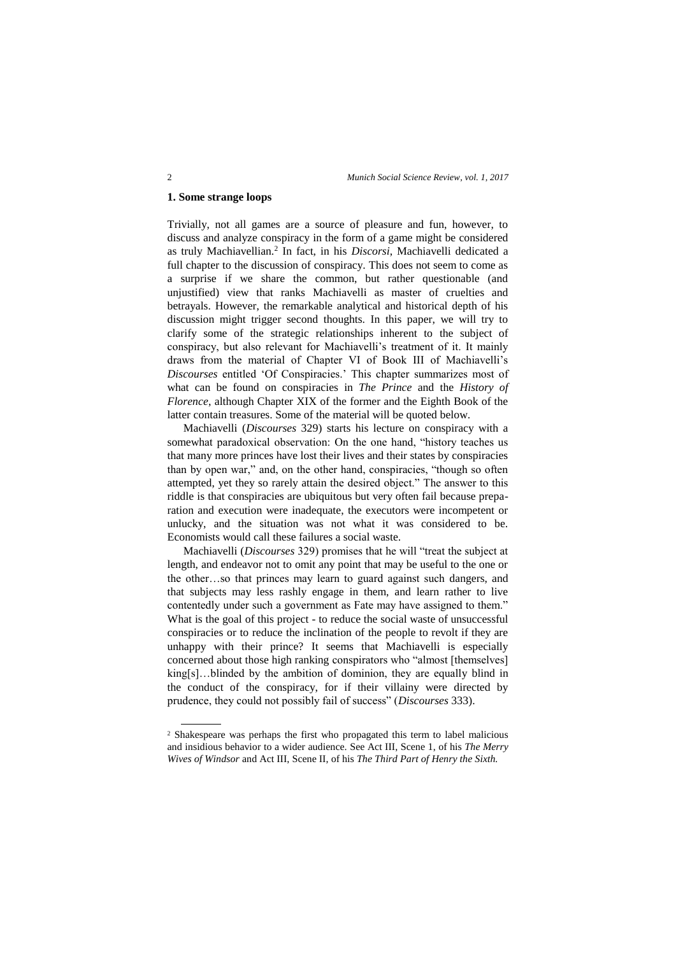# **1. Some strange loops**

Trivially, not all games are a source of pleasure and fun, however, to discuss and analyze conspiracy in the form of a game might be considered as truly Machiavellian.<sup>2</sup> In fact, in his *Discorsi*, Machiavelli dedicated a full chapter to the discussion of conspiracy. This does not seem to come as a surprise if we share the common, but rather questionable (and unjustified) view that ranks Machiavelli as master of cruelties and betrayals. However, the remarkable analytical and historical depth of his discussion might trigger second thoughts. In this paper, we will try to clarify some of the strategic relationships inherent to the subject of conspiracy, but also relevant for Machiavelli's treatment of it. It mainly draws from the material of Chapter VI of Book III of Machiavelli's *Discourses* entitled 'Of Conspiracies.' This chapter summarizes most of what can be found on conspiracies in *The Prince* and the *History of Florence*, although Chapter XIX of the former and the Eighth Book of the latter contain treasures. Some of the material will be quoted below.

Machiavelli (*Discourses* 329) starts his lecture on conspiracy with a somewhat paradoxical observation: On the one hand, "history teaches us that many more princes have lost their lives and their states by conspiracies than by open war," and, on the other hand, conspiracies, "though so often attempted, yet they so rarely attain the desired object." The answer to this riddle is that conspiracies are ubiquitous but very often fail because preparation and execution were inadequate, the executors were incompetent or unlucky, and the situation was not what it was considered to be. Economists would call these failures a social waste.

Machiavelli (*Discourses* 329) promises that he will "treat the subject at length, and endeavor not to omit any point that may be useful to the one or the other…so that princes may learn to guard against such dangers, and that subjects may less rashly engage in them, and learn rather to live contentedly under such a government as Fate may have assigned to them." What is the goal of this project - to reduce the social waste of unsuccessful conspiracies or to reduce the inclination of the people to revolt if they are unhappy with their prince? It seems that Machiavelli is especially concerned about those high ranking conspirators who "almost [themselves] king[s]…blinded by the ambition of dominion, they are equally blind in the conduct of the conspiracy, for if their villainy were directed by prudence, they could not possibly fail of success" (*Discourses* 333).

<sup>2</sup> Shakespeare was perhaps the first who propagated this term to label malicious and insidious behavior to a wider audience. See Act III, Scene 1, of his *The Merry Wives of Windsor* and Act III, Scene II, of his *The Third Part of Henry the Sixth.*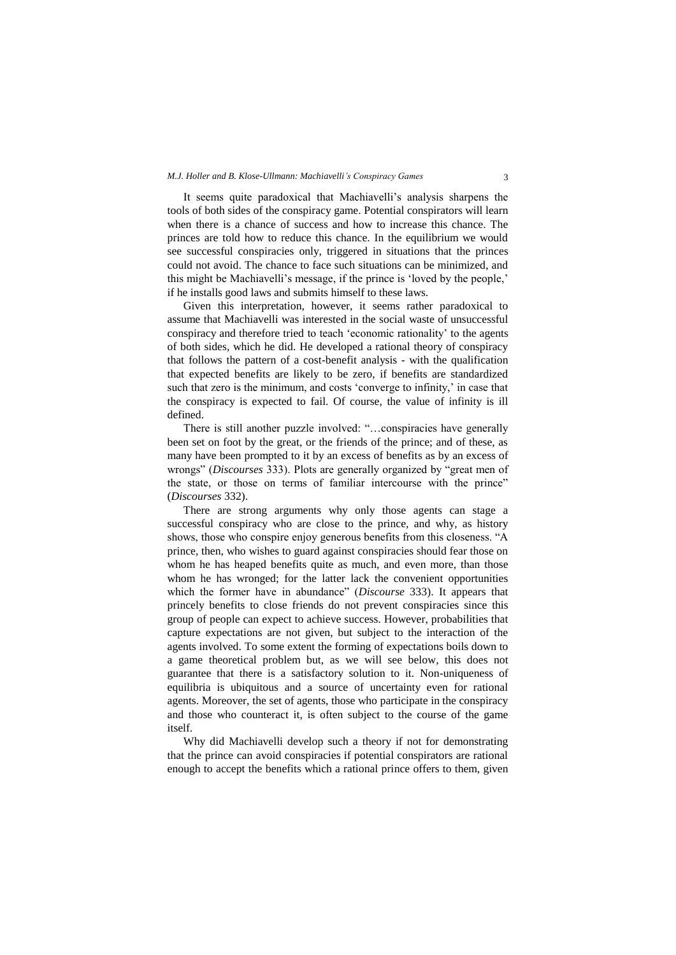#### *M.J. Holler and B. Klose-Ullmann: Machiavelli's Conspiracy Games* 3

It seems quite paradoxical that Machiavelli's analysis sharpens the tools of both sides of the conspiracy game. Potential conspirators will learn when there is a chance of success and how to increase this chance. The princes are told how to reduce this chance. In the equilibrium we would see successful conspiracies only, triggered in situations that the princes could not avoid. The chance to face such situations can be minimized, and this might be Machiavelli's message, if the prince is 'loved by the people,' if he installs good laws and submits himself to these laws.

Given this interpretation, however, it seems rather paradoxical to assume that Machiavelli was interested in the social waste of unsuccessful conspiracy and therefore tried to teach 'economic rationality' to the agents of both sides, which he did. He developed a rational theory of conspiracy that follows the pattern of a cost-benefit analysis - with the qualification that expected benefits are likely to be zero, if benefits are standardized such that zero is the minimum, and costs 'converge to infinity,' in case that the conspiracy is expected to fail. Of course, the value of infinity is ill defined.

There is still another puzzle involved: "…conspiracies have generally been set on foot by the great, or the friends of the prince; and of these, as many have been prompted to it by an excess of benefits as by an excess of wrongs" (*Discourses* 333). Plots are generally organized by "great men of the state, or those on terms of familiar intercourse with the prince" (*Discourses* 332).

There are strong arguments why only those agents can stage a successful conspiracy who are close to the prince, and why, as history shows, those who conspire enjoy generous benefits from this closeness. "A prince, then, who wishes to guard against conspiracies should fear those on whom he has heaped benefits quite as much, and even more, than those whom he has wronged; for the latter lack the convenient opportunities which the former have in abundance" (*Discourse* 333). It appears that princely benefits to close friends do not prevent conspiracies since this group of people can expect to achieve success. However, probabilities that capture expectations are not given, but subject to the interaction of the agents involved. To some extent the forming of expectations boils down to a game theoretical problem but, as we will see below, this does not guarantee that there is a satisfactory solution to it. Non-uniqueness of equilibria is ubiquitous and a source of uncertainty even for rational agents. Moreover, the set of agents, those who participate in the conspiracy and those who counteract it, is often subject to the course of the game itself.

Why did Machiavelli develop such a theory if not for demonstrating that the prince can avoid conspiracies if potential conspirators are rational enough to accept the benefits which a rational prince offers to them, given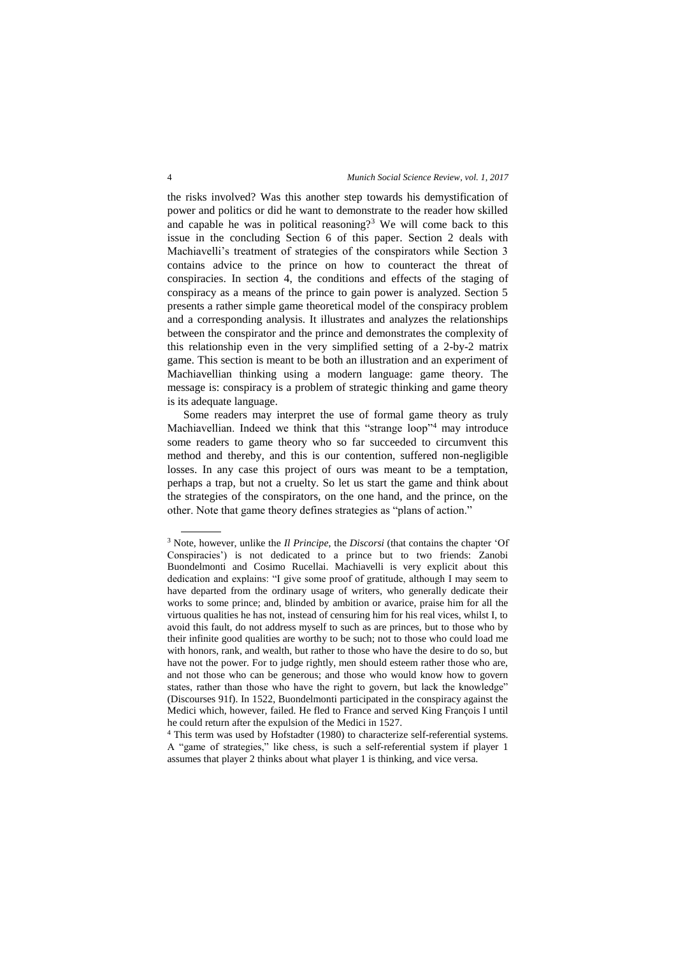the risks involved? Was this another step towards his demystification of power and politics or did he want to demonstrate to the reader how skilled and capable he was in political reasoning?<sup>3</sup> We will come back to this issue in the concluding Section 6 of this paper. Section 2 deals with Machiavelli's treatment of strategies of the conspirators while Section 3 contains advice to the prince on how to counteract the threat of conspiracies. In section 4, the conditions and effects of the staging of conspiracy as a means of the prince to gain power is analyzed. Section 5 presents a rather simple game theoretical model of the conspiracy problem and a corresponding analysis. It illustrates and analyzes the relationships between the conspirator and the prince and demonstrates the complexity of this relationship even in the very simplified setting of a 2-by-2 matrix game. This section is meant to be both an illustration and an experiment of Machiavellian thinking using a modern language: game theory. The message is: conspiracy is a problem of strategic thinking and game theory is its adequate language.

Some readers may interpret the use of formal game theory as truly Machiavellian. Indeed we think that this "strange loop"<sup>4</sup> may introduce some readers to game theory who so far succeeded to circumvent this method and thereby, and this is our contention, suffered non-negligible losses. In any case this project of ours was meant to be a temptation, perhaps a trap, but not a cruelty. So let us start the game and think about the strategies of the conspirators, on the one hand, and the prince, on the other. Note that game theory defines strategies as "plans of action."

<sup>3</sup> Note, however, unlike the *Il Principe*, the *Discorsi* (that contains the chapter 'Of Conspiracies') is not dedicated to a prince but to two friends: Zanobi Buondelmonti and Cosimo Rucellai. Machiavelli is very explicit about this dedication and explains: "I give some proof of gratitude, although I may seem to have departed from the ordinary usage of writers, who generally dedicate their works to some prince; and, blinded by ambition or avarice, praise him for all the virtuous qualities he has not, instead of censuring him for his real vices, whilst I, to avoid this fault, do not address myself to such as are princes, but to those who by their infinite good qualities are worthy to be such; not to those who could load me with honors, rank, and wealth, but rather to those who have the desire to do so, but have not the power. For to judge rightly, men should esteem rather those who are, and not those who can be generous; and those who would know how to govern states, rather than those who have the right to govern, but lack the knowledge" (Discourses 91f). In 1522, Buondelmonti participated in the conspiracy against the Medici which, however, failed. He fled to France and served King François I until he could return after the expulsion of the Medici in 1527.

<sup>&</sup>lt;sup>4</sup> This term was used by Hofstadter (1980) to characterize self-referential systems. A "game of strategies," like chess, is such a self-referential system if player 1 assumes that player 2 thinks about what player 1 is thinking, and vice versa.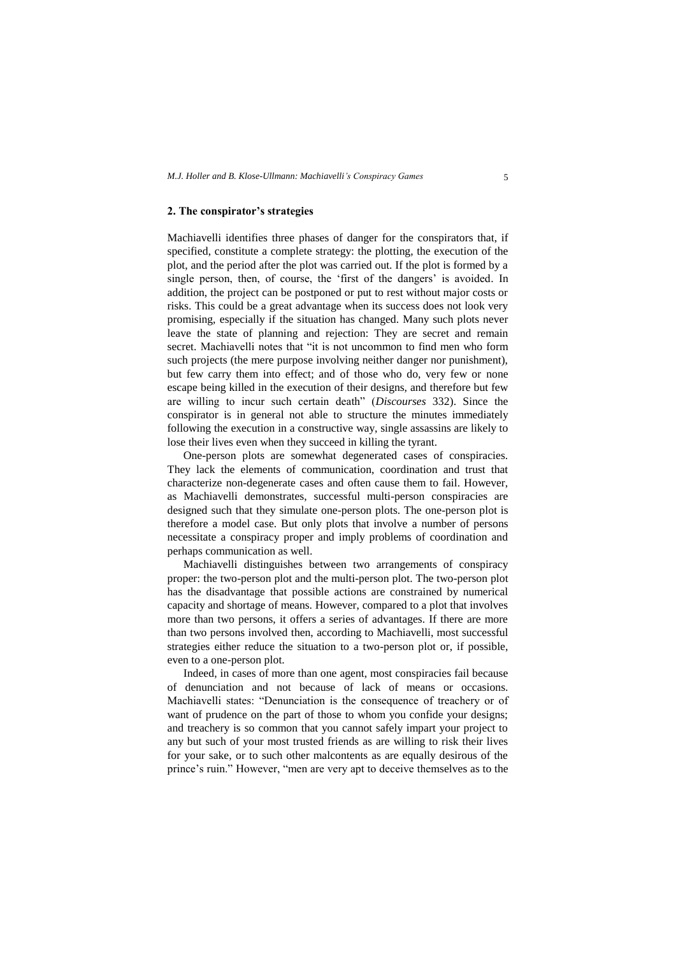# **2. The conspirator's strategies**

Machiavelli identifies three phases of danger for the conspirators that, if specified, constitute a complete strategy: the plotting, the execution of the plot, and the period after the plot was carried out. If the plot is formed by a single person, then, of course, the 'first of the dangers' is avoided. In addition, the project can be postponed or put to rest without major costs or risks. This could be a great advantage when its success does not look very promising, especially if the situation has changed. Many such plots never leave the state of planning and rejection: They are secret and remain secret. Machiavelli notes that "it is not uncommon to find men who form such projects (the mere purpose involving neither danger nor punishment), but few carry them into effect; and of those who do, very few or none escape being killed in the execution of their designs, and therefore but few are willing to incur such certain death" (*Discourses* 332). Since the conspirator is in general not able to structure the minutes immediately following the execution in a constructive way, single assassins are likely to lose their lives even when they succeed in killing the tyrant.

One-person plots are somewhat degenerated cases of conspiracies. They lack the elements of communication, coordination and trust that characterize non-degenerate cases and often cause them to fail. However, as Machiavelli demonstrates, successful multi-person conspiracies are designed such that they simulate one-person plots. The one-person plot is therefore a model case. But only plots that involve a number of persons necessitate a conspiracy proper and imply problems of coordination and perhaps communication as well.

Machiavelli distinguishes between two arrangements of conspiracy proper: the two-person plot and the multi-person plot. The two-person plot has the disadvantage that possible actions are constrained by numerical capacity and shortage of means. However, compared to a plot that involves more than two persons, it offers a series of advantages. If there are more than two persons involved then, according to Machiavelli, most successful strategies either reduce the situation to a two-person plot or, if possible, even to a one-person plot.

Indeed, in cases of more than one agent, most conspiracies fail because of denunciation and not because of lack of means or occasions. Machiavelli states: "Denunciation is the consequence of treachery or of want of prudence on the part of those to whom you confide your designs; and treachery is so common that you cannot safely impart your project to any but such of your most trusted friends as are willing to risk their lives for your sake, or to such other malcontents as are equally desirous of the prince's ruin." However, "men are very apt to deceive themselves as to the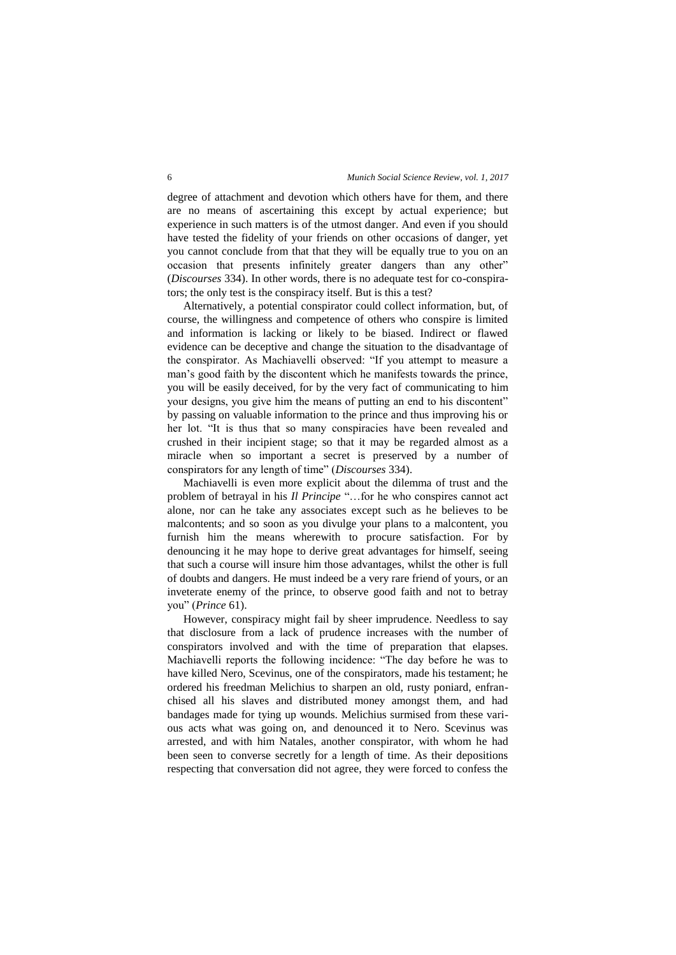degree of attachment and devotion which others have for them, and there are no means of ascertaining this except by actual experience; but experience in such matters is of the utmost danger. And even if you should have tested the fidelity of your friends on other occasions of danger, yet you cannot conclude from that that they will be equally true to you on an occasion that presents infinitely greater dangers than any other" (*Discourses* 334). In other words, there is no adequate test for co-conspirators; the only test is the conspiracy itself. But is this a test?

Alternatively, a potential conspirator could collect information, but, of course, the willingness and competence of others who conspire is limited and information is lacking or likely to be biased. Indirect or flawed evidence can be deceptive and change the situation to the disadvantage of the conspirator. As Machiavelli observed: "If you attempt to measure a man's good faith by the discontent which he manifests towards the prince, you will be easily deceived, for by the very fact of communicating to him your designs, you give him the means of putting an end to his discontent" by passing on valuable information to the prince and thus improving his or her lot. "It is thus that so many conspiracies have been revealed and crushed in their incipient stage; so that it may be regarded almost as a miracle when so important a secret is preserved by a number of conspirators for any length of time" (*Discourses* 334).

Machiavelli is even more explicit about the dilemma of trust and the problem of betrayal in his *Il Principe* "…for he who conspires cannot act alone, nor can he take any associates except such as he believes to be malcontents; and so soon as you divulge your plans to a malcontent, you furnish him the means wherewith to procure satisfaction. For by denouncing it he may hope to derive great advantages for himself, seeing that such a course will insure him those advantages, whilst the other is full of doubts and dangers. He must indeed be a very rare friend of yours, or an inveterate enemy of the prince, to observe good faith and not to betray you" (*Prince* 61).

However, conspiracy might fail by sheer imprudence. Needless to say that disclosure from a lack of prudence increases with the number of conspirators involved and with the time of preparation that elapses. Machiavelli reports the following incidence: "The day before he was to have killed Nero, Scevinus, one of the conspirators, made his testament; he ordered his freedman Melichius to sharpen an old, rusty poniard, enfranchised all his slaves and distributed money amongst them, and had bandages made for tying up wounds. Melichius surmised from these various acts what was going on, and denounced it to Nero. Scevinus was arrested, and with him Natales, another conspirator, with whom he had been seen to converse secretly for a length of time. As their depositions respecting that conversation did not agree, they were forced to confess the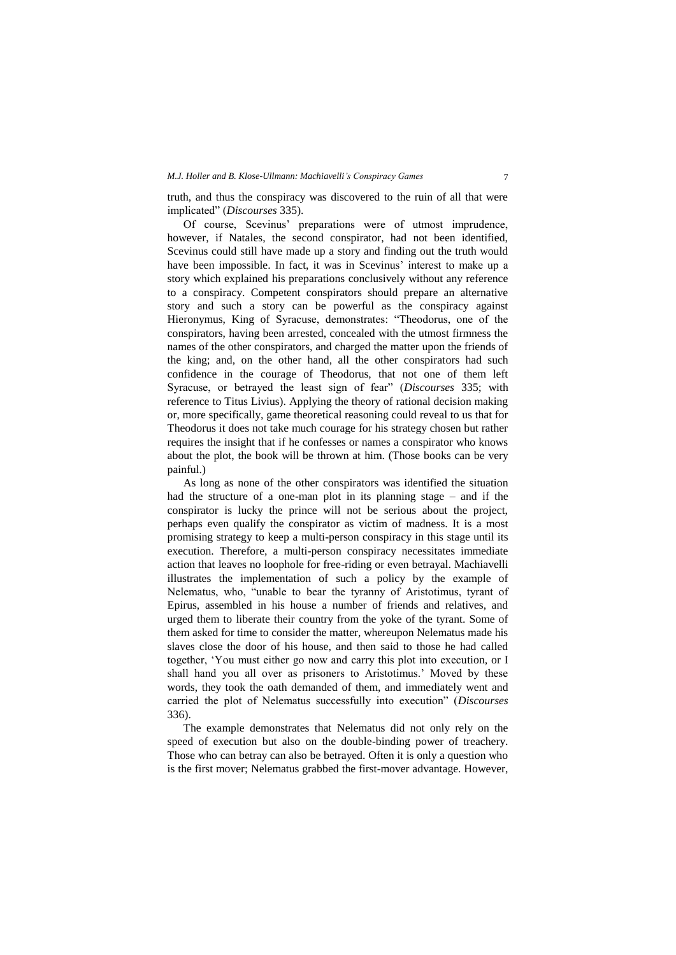truth, and thus the conspiracy was discovered to the ruin of all that were implicated" (*Discourses* 335).

Of course, Scevinus' preparations were of utmost imprudence, however, if Natales, the second conspirator, had not been identified, Scevinus could still have made up a story and finding out the truth would have been impossible. In fact, it was in Scevinus' interest to make up a story which explained his preparations conclusively without any reference to a conspiracy. Competent conspirators should prepare an alternative story and such a story can be powerful as the conspiracy against Hieronymus, King of Syracuse, demonstrates: "Theodorus, one of the conspirators, having been arrested, concealed with the utmost firmness the names of the other conspirators, and charged the matter upon the friends of the king; and, on the other hand, all the other conspirators had such confidence in the courage of Theodorus, that not one of them left Syracuse, or betrayed the least sign of fear" (*Discourses* 335; with reference to Titus Livius). Applying the theory of rational decision making or, more specifically, game theoretical reasoning could reveal to us that for Theodorus it does not take much courage for his strategy chosen but rather requires the insight that if he confesses or names a conspirator who knows about the plot, the book will be thrown at him. (Those books can be very painful.)

As long as none of the other conspirators was identified the situation had the structure of a one-man plot in its planning stage – and if the conspirator is lucky the prince will not be serious about the project, perhaps even qualify the conspirator as victim of madness. It is a most promising strategy to keep a multi-person conspiracy in this stage until its execution. Therefore, a multi-person conspiracy necessitates immediate action that leaves no loophole for free-riding or even betrayal. Machiavelli illustrates the implementation of such a policy by the example of Nelematus, who, "unable to bear the tyranny of Aristotimus, tyrant of Epirus, assembled in his house a number of friends and relatives, and urged them to liberate their country from the yoke of the tyrant. Some of them asked for time to consider the matter, whereupon Nelematus made his slaves close the door of his house, and then said to those he had called together, 'You must either go now and carry this plot into execution, or I shall hand you all over as prisoners to Aristotimus.' Moved by these words, they took the oath demanded of them, and immediately went and carried the plot of Nelematus successfully into execution" (*Discourses*  336).

The example demonstrates that Nelematus did not only rely on the speed of execution but also on the double-binding power of treachery. Those who can betray can also be betrayed. Often it is only a question who is the first mover; Nelematus grabbed the first-mover advantage. However,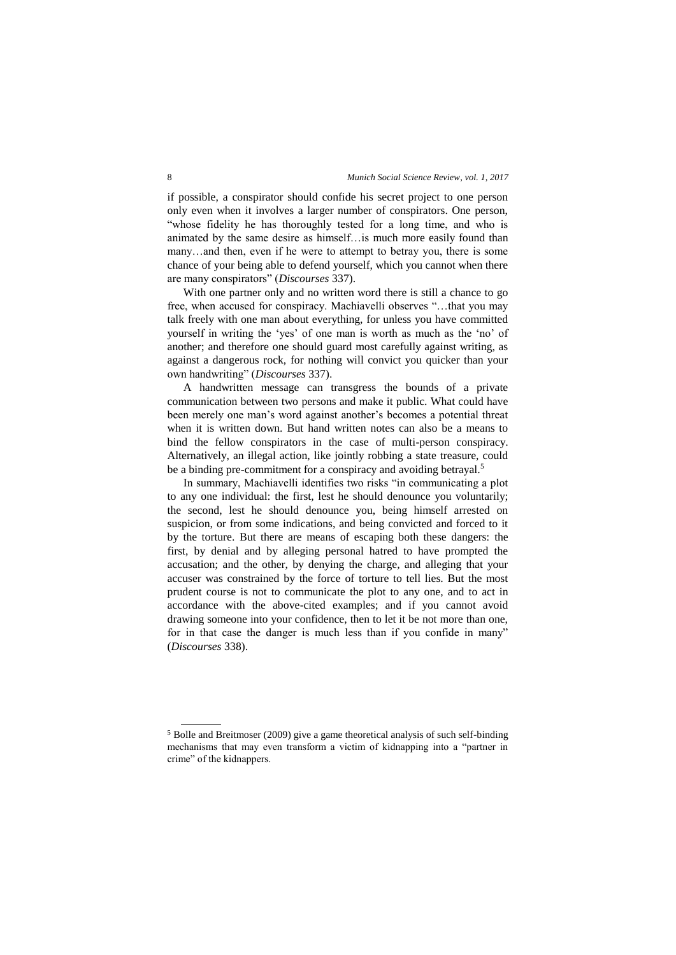if possible, a conspirator should confide his secret project to one person only even when it involves a larger number of conspirators. One person, "whose fidelity he has thoroughly tested for a long time, and who is animated by the same desire as himself…is much more easily found than many…and then, even if he were to attempt to betray you, there is some chance of your being able to defend yourself, which you cannot when there are many conspirators" (*Discourses* 337).

With one partner only and no written word there is still a chance to go free, when accused for conspiracy. Machiavelli observes "…that you may talk freely with one man about everything, for unless you have committed yourself in writing the 'yes' of one man is worth as much as the 'no' of another; and therefore one should guard most carefully against writing, as against a dangerous rock, for nothing will convict you quicker than your own handwriting" (*Discourses* 337).

A handwritten message can transgress the bounds of a private communication between two persons and make it public. What could have been merely one man's word against another's becomes a potential threat when it is written down. But hand written notes can also be a means to bind the fellow conspirators in the case of multi-person conspiracy. Alternatively, an illegal action, like jointly robbing a state treasure, could be a binding pre-commitment for a conspiracy and avoiding betrayal.<sup>5</sup>

In summary, Machiavelli identifies two risks "in communicating a plot to any one individual: the first, lest he should denounce you voluntarily; the second, lest he should denounce you, being himself arrested on suspicion, or from some indications, and being convicted and forced to it by the torture. But there are means of escaping both these dangers: the first, by denial and by alleging personal hatred to have prompted the accusation; and the other, by denying the charge, and alleging that your accuser was constrained by the force of torture to tell lies. But the most prudent course is not to communicate the plot to any one, and to act in accordance with the above-cited examples; and if you cannot avoid drawing someone into your confidence, then to let it be not more than one, for in that case the danger is much less than if you confide in many" (*Discourses* 338).

<sup>5</sup> Bolle and Breitmoser (2009) give a game theoretical analysis of such self-binding mechanisms that may even transform a victim of kidnapping into a "partner in crime" of the kidnappers.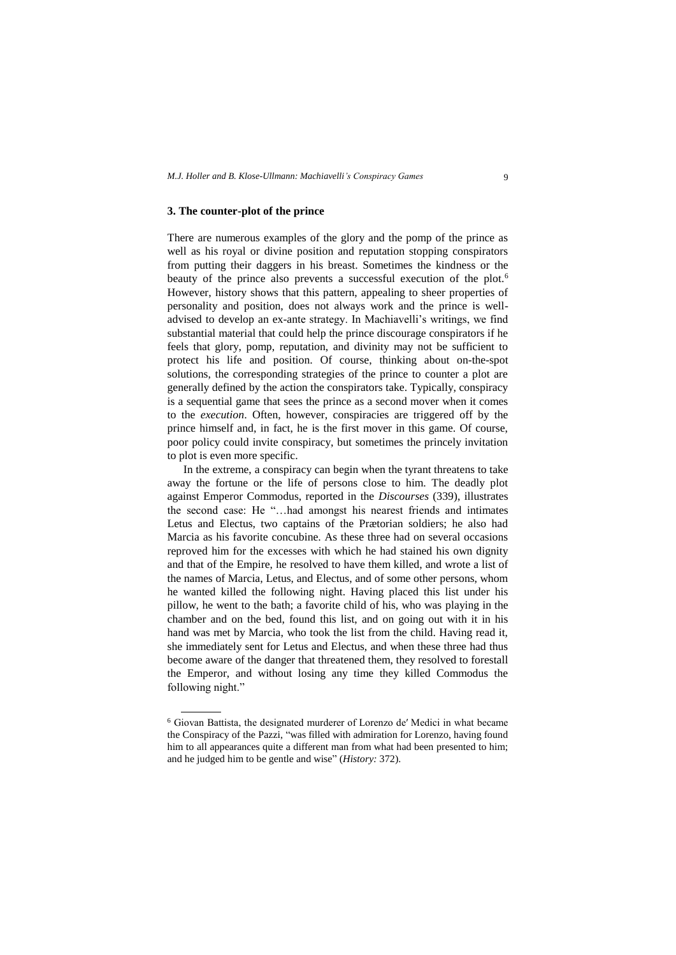#### **3. The counter-plot of the prince**

There are numerous examples of the glory and the pomp of the prince as well as his royal or divine position and reputation stopping conspirators from putting their daggers in his breast. Sometimes the kindness or the beauty of the prince also prevents a successful execution of the plot.<sup>6</sup> However, history shows that this pattern, appealing to sheer properties of personality and position, does not always work and the prince is welladvised to develop an ex-ante strategy. In Machiavelli's writings, we find substantial material that could help the prince discourage conspirators if he feels that glory, pomp, reputation, and divinity may not be sufficient to protect his life and position. Of course, thinking about on-the-spot solutions, the corresponding strategies of the prince to counter a plot are generally defined by the action the conspirators take. Typically, conspiracy is a sequential game that sees the prince as a second mover when it comes to the *execution*. Often, however, conspiracies are triggered off by the prince himself and, in fact, he is the first mover in this game. Of course, poor policy could invite conspiracy, but sometimes the princely invitation to plot is even more specific.

In the extreme, a conspiracy can begin when the tyrant threatens to take away the fortune or the life of persons close to him. The deadly plot against Emperor Commodus, reported in the *Discourses* (339), illustrates the second case: He "…had amongst his nearest friends and intimates Letus and Electus, two captains of the Prætorian soldiers; he also had Marcia as his favorite concubine. As these three had on several occasions reproved him for the excesses with which he had stained his own dignity and that of the Empire, he resolved to have them killed, and wrote a list of the names of Marcia, Letus, and Electus, and of some other persons, whom he wanted killed the following night. Having placed this list under his pillow, he went to the bath; a favorite child of his, who was playing in the chamber and on the bed, found this list, and on going out with it in his hand was met by Marcia, who took the list from the child. Having read it, she immediately sent for Letus and Electus, and when these three had thus become aware of the danger that threatened them, they resolved to forestall the Emperor, and without losing any time they killed Commodus the following night."

<sup>6</sup> Giovan Battista, the designated murderer of Lorenzo de′ Medici in what became the Conspiracy of the Pazzi, "was filled with admiration for Lorenzo, having found him to all appearances quite a different man from what had been presented to him; and he judged him to be gentle and wise" (*History:* 372).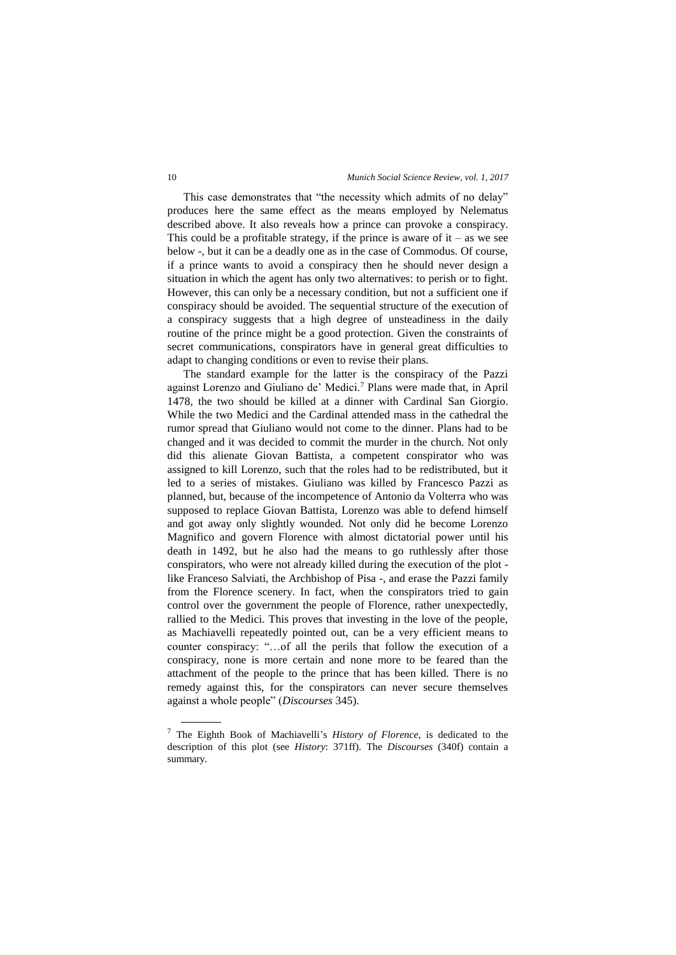This case demonstrates that "the necessity which admits of no delay" produces here the same effect as the means employed by Nelematus described above. It also reveals how a prince can provoke a conspiracy. This could be a profitable strategy, if the prince is aware of  $it - as$  we see below -, but it can be a deadly one as in the case of Commodus. Of course, if a prince wants to avoid a conspiracy then he should never design a situation in which the agent has only two alternatives: to perish or to fight. However, this can only be a necessary condition, but not a sufficient one if conspiracy should be avoided. The sequential structure of the execution of a conspiracy suggests that a high degree of unsteadiness in the daily routine of the prince might be a good protection. Given the constraints of secret communications, conspirators have in general great difficulties to adapt to changing conditions or even to revise their plans.

The standard example for the latter is the conspiracy of the Pazzi against Lorenzo and Giuliano de' Medici.<sup>7</sup> Plans were made that, in April 1478, the two should be killed at a dinner with Cardinal San Giorgio. While the two Medici and the Cardinal attended mass in the cathedral the rumor spread that Giuliano would not come to the dinner. Plans had to be changed and it was decided to commit the murder in the church. Not only did this alienate Giovan Battista, a competent conspirator who was assigned to kill Lorenzo, such that the roles had to be redistributed, but it led to a series of mistakes. Giuliano was killed by Francesco Pazzi as planned, but, because of the incompetence of Antonio da Volterra who was supposed to replace Giovan Battista, Lorenzo was able to defend himself and got away only slightly wounded. Not only did he become Lorenzo Magnifico and govern Florence with almost dictatorial power until his death in 1492, but he also had the means to go ruthlessly after those conspirators, who were not already killed during the execution of the plot like Franceso Salviati, the Archbishop of Pisa -, and erase the Pazzi family from the Florence scenery. In fact, when the conspirators tried to gain control over the government the people of Florence, rather unexpectedly, rallied to the Medici. This proves that investing in the love of the people, as Machiavelli repeatedly pointed out, can be a very efficient means to counter conspiracy: "…of all the perils that follow the execution of a conspiracy, none is more certain and none more to be feared than the attachment of the people to the prince that has been killed. There is no remedy against this, for the conspirators can never secure themselves against a whole people" (*Discourses* 345).

<sup>7</sup> The Eighth Book of Machiavelli's *History of Florence*, is dedicated to the description of this plot (see *History*: 371ff). The *Discourses* (340f) contain a summary.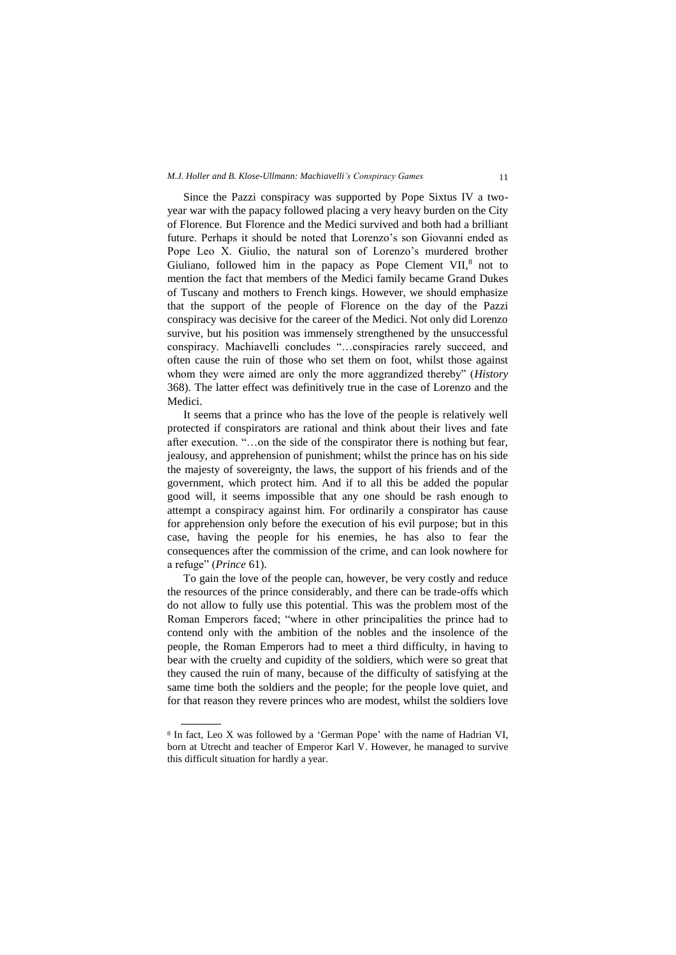Since the Pazzi conspiracy was supported by Pope Sixtus IV a twoyear war with the papacy followed placing a very heavy burden on the City of Florence. But Florence and the Medici survived and both had a brilliant future. Perhaps it should be noted that Lorenzo's son Giovanni ended as Pope Leo X. Giulio, the natural son of Lorenzo's murdered brother Giuliano, followed him in the papacy as Pope Clement VII, $8$  not to mention the fact that members of the Medici family became Grand Dukes of Tuscany and mothers to French kings. However, we should emphasize that the support of the people of Florence on the day of the Pazzi conspiracy was decisive for the career of the Medici. Not only did Lorenzo survive, but his position was immensely strengthened by the unsuccessful conspiracy. Machiavelli concludes "…conspiracies rarely succeed, and often cause the ruin of those who set them on foot, whilst those against whom they were aimed are only the more aggrandized thereby" (*History*  368). The latter effect was definitively true in the case of Lorenzo and the Medici.

It seems that a prince who has the love of the people is relatively well protected if conspirators are rational and think about their lives and fate after execution. "…on the side of the conspirator there is nothing but fear, jealousy, and apprehension of punishment; whilst the prince has on his side the majesty of sovereignty, the laws, the support of his friends and of the government, which protect him. And if to all this be added the popular good will, it seems impossible that any one should be rash enough to attempt a conspiracy against him. For ordinarily a conspirator has cause for apprehension only before the execution of his evil purpose; but in this case, having the people for his enemies, he has also to fear the consequences after the commission of the crime, and can look nowhere for a refuge" (*Prince* 61).

To gain the love of the people can, however, be very costly and reduce the resources of the prince considerably, and there can be trade-offs which do not allow to fully use this potential. This was the problem most of the Roman Emperors faced; "where in other principalities the prince had to contend only with the ambition of the nobles and the insolence of the people, the Roman Emperors had to meet a third difficulty, in having to bear with the cruelty and cupidity of the soldiers, which were so great that they caused the ruin of many, because of the difficulty of satisfying at the same time both the soldiers and the people; for the people love quiet, and for that reason they revere princes who are modest, whilst the soldiers love

<sup>8</sup> In fact, Leo X was followed by a 'German Pope' with the name of Hadrian VI, born at Utrecht and teacher of Emperor Karl V. However, he managed to survive this difficult situation for hardly a year.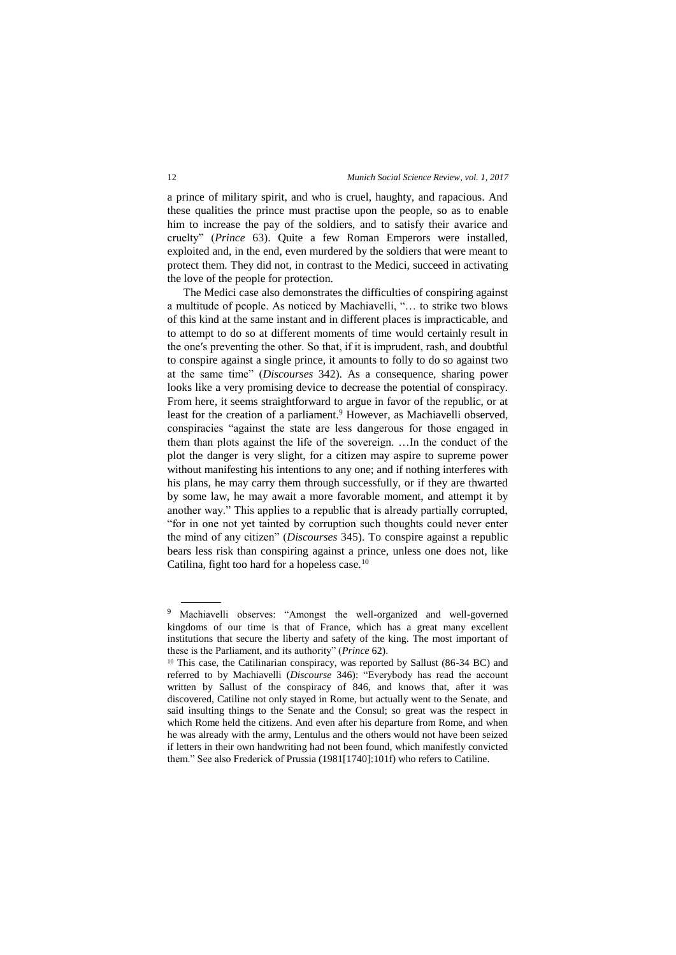a prince of military spirit, and who is cruel, haughty, and rapacious. And these qualities the prince must practise upon the people, so as to enable him to increase the pay of the soldiers, and to satisfy their avarice and cruelty" (*Prince* 63). Quite a few Roman Emperors were installed, exploited and, in the end, even murdered by the soldiers that were meant to protect them. They did not, in contrast to the Medici, succeed in activating the love of the people for protection.

The Medici case also demonstrates the difficulties of conspiring against a multitude of people. As noticed by Machiavelli, "… to strike two blows of this kind at the same instant and in different places is impracticable, and to attempt to do so at different moments of time would certainly result in the one′s preventing the other. So that, if it is imprudent, rash, and doubtful to conspire against a single prince, it amounts to folly to do so against two at the same time" (*Discourses* 342). As a consequence, sharing power looks like a very promising device to decrease the potential of conspiracy. From here, it seems straightforward to argue in favor of the republic, or at least for the creation of a parliament.<sup>9</sup> However, as Machiavelli observed, conspiracies "against the state are less dangerous for those engaged in them than plots against the life of the sovereign. …In the conduct of the plot the danger is very slight, for a citizen may aspire to supreme power without manifesting his intentions to any one; and if nothing interferes with his plans, he may carry them through successfully, or if they are thwarted by some law, he may await a more favorable moment, and attempt it by another way." This applies to a republic that is already partially corrupted, "for in one not yet tainted by corruption such thoughts could never enter the mind of any citizen" (*Discourses* 345). To conspire against a republic bears less risk than conspiring against a prince, unless one does not, like Catilina, fight too hard for a hopeless case.<sup>10</sup>

<sup>9</sup> Machiavelli observes: "Amongst the well-organized and well-governed kingdoms of our time is that of France, which has a great many excellent institutions that secure the liberty and safety of the king. The most important of these is the Parliament, and its authority" (*Prince* 62).

<sup>10</sup> This case, the Catilinarian conspiracy, was reported by Sallust (86-34 BC) and referred to by Machiavelli (*Discourse* 346): "Everybody has read the account written by Sallust of the conspiracy of 846, and knows that, after it was discovered, Catiline not only stayed in Rome, but actually went to the Senate, and said insulting things to the Senate and the Consul; so great was the respect in which Rome held the citizens. And even after his departure from Rome, and when he was already with the army, Lentulus and the others would not have been seized if letters in their own handwriting had not been found, which manifestly convicted them." See also Frederick of Prussia (1981[1740]:101f) who refers to Catiline.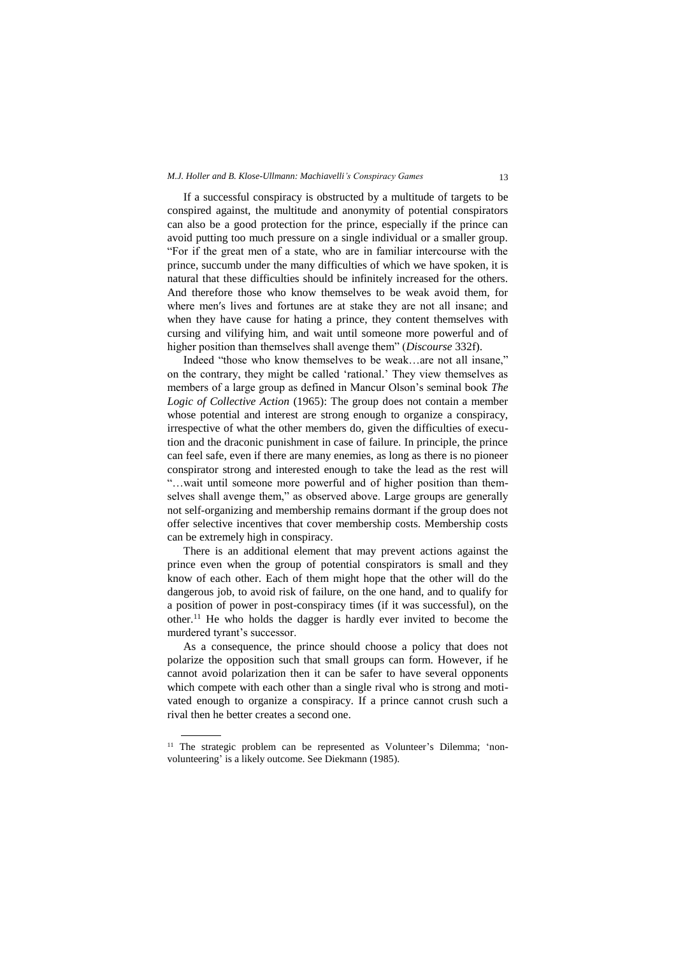# *M.J. Holler and B. Klose-Ullmann: Machiavelli's Conspiracy Games* 13

If a successful conspiracy is obstructed by a multitude of targets to be conspired against, the multitude and anonymity of potential conspirators can also be a good protection for the prince, especially if the prince can avoid putting too much pressure on a single individual or a smaller group. "For if the great men of a state, who are in familiar intercourse with the prince, succumb under the many difficulties of which we have spoken, it is natural that these difficulties should be infinitely increased for the others. And therefore those who know themselves to be weak avoid them, for where men′s lives and fortunes are at stake they are not all insane; and when they have cause for hating a prince, they content themselves with cursing and vilifying him, and wait until someone more powerful and of higher position than themselves shall avenge them" (*Discourse* 332f).

Indeed "those who know themselves to be weak…are not all insane," on the contrary, they might be called 'rational.' They view themselves as members of a large group as defined in Mancur Olson's seminal book *The Logic of Collective Action* (1965): The group does not contain a member whose potential and interest are strong enough to organize a conspiracy, irrespective of what the other members do, given the difficulties of execution and the draconic punishment in case of failure. In principle, the prince can feel safe, even if there are many enemies, as long as there is no pioneer conspirator strong and interested enough to take the lead as the rest will "…wait until someone more powerful and of higher position than themselves shall avenge them," as observed above. Large groups are generally not self-organizing and membership remains dormant if the group does not offer selective incentives that cover membership costs. Membership costs can be extremely high in conspiracy.

There is an additional element that may prevent actions against the prince even when the group of potential conspirators is small and they know of each other. Each of them might hope that the other will do the dangerous job, to avoid risk of failure, on the one hand, and to qualify for a position of power in post-conspiracy times (if it was successful), on the other.<sup>11</sup> He who holds the dagger is hardly ever invited to become the murdered tyrant's successor.

As a consequence, the prince should choose a policy that does not polarize the opposition such that small groups can form. However, if he cannot avoid polarization then it can be safer to have several opponents which compete with each other than a single rival who is strong and motivated enough to organize a conspiracy. If a prince cannot crush such a rival then he better creates a second one.

<sup>&</sup>lt;sup>11</sup> The strategic problem can be represented as Volunteer's Dilemma; 'nonvolunteering' is a likely outcome. See Diekmann (1985).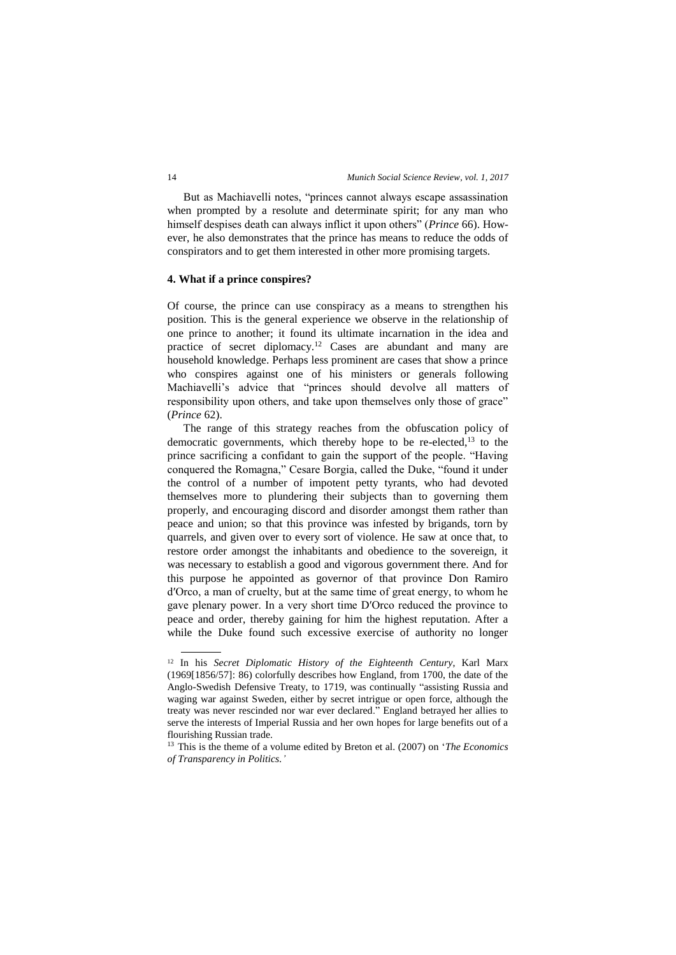But as Machiavelli notes, "princes cannot always escape assassination when prompted by a resolute and determinate spirit; for any man who himself despises death can always inflict it upon others" (*Prince* 66). However, he also demonstrates that the prince has means to reduce the odds of conspirators and to get them interested in other more promising targets.

# **4. What if a prince conspires?**

Of course, the prince can use conspiracy as a means to strengthen his position. This is the general experience we observe in the relationship of one prince to another; it found its ultimate incarnation in the idea and practice of secret diplomacy.<sup>12</sup> Cases are abundant and many are household knowledge. Perhaps less prominent are cases that show a prince who conspires against one of his ministers or generals following Machiavelli's advice that "princes should devolve all matters of responsibility upon others, and take upon themselves only those of grace" (*Prince* 62).

The range of this strategy reaches from the obfuscation policy of democratic governments, which thereby hope to be re-elected, $^{13}$  to the prince sacrificing a confidant to gain the support of the people. "Having conquered the Romagna," Cesare Borgia, called the Duke, "found it under the control of a number of impotent petty tyrants, who had devoted themselves more to plundering their subjects than to governing them properly, and encouraging discord and disorder amongst them rather than peace and union; so that this province was infested by brigands, torn by quarrels, and given over to every sort of violence. He saw at once that, to restore order amongst the inhabitants and obedience to the sovereign, it was necessary to establish a good and vigorous government there. And for this purpose he appointed as governor of that province Don Ramiro d′Orco, a man of cruelty, but at the same time of great energy, to whom he gave plenary power. In a very short time D′Orco reduced the province to peace and order, thereby gaining for him the highest reputation. After a while the Duke found such excessive exercise of authority no longer

<sup>12</sup> In his *Secret Diplomatic History of the Eighteenth Century*, Karl Marx (1969[1856/57]: 86) colorfully describes how England, from 1700, the date of the Anglo-Swedish Defensive Treaty, to 1719, was continually "assisting Russia and waging war against Sweden, either by secret intrigue or open force, although the treaty was never rescinded nor war ever declared." England betrayed her allies to serve the interests of Imperial Russia and her own hopes for large benefits out of a flourishing Russian trade.

<sup>13</sup> This is the theme of a volume edited by Breton et al. (2007) on '*The Economics of Transparency in Politics.'*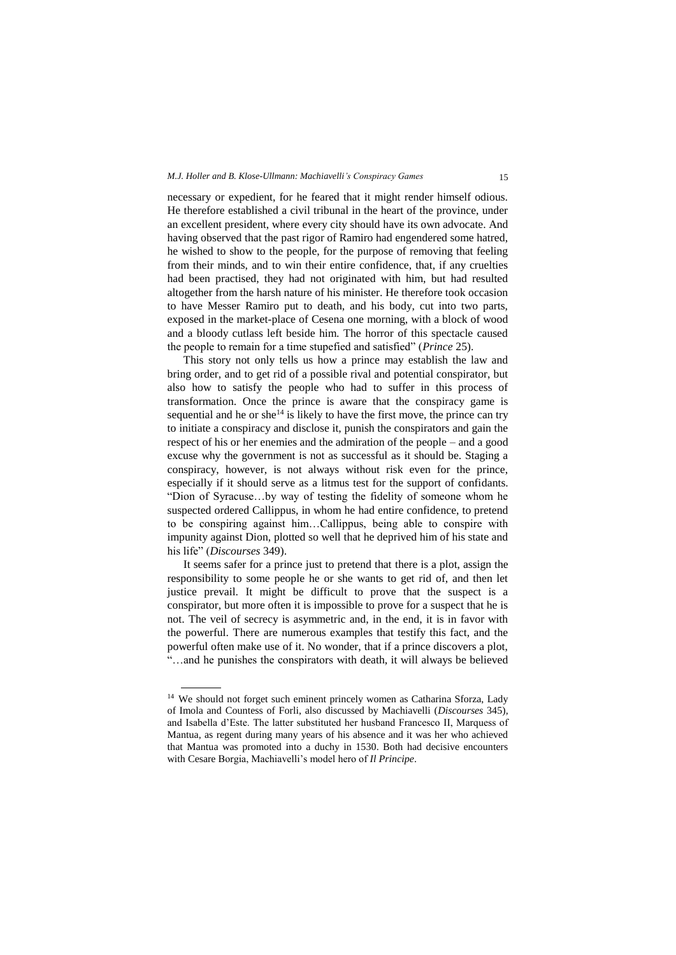necessary or expedient, for he feared that it might render himself odious. He therefore established a civil tribunal in the heart of the province, under an excellent president, where every city should have its own advocate. And having observed that the past rigor of Ramiro had engendered some hatred, he wished to show to the people, for the purpose of removing that feeling from their minds, and to win their entire confidence, that, if any cruelties had been practised, they had not originated with him, but had resulted altogether from the harsh nature of his minister. He therefore took occasion to have Messer Ramiro put to death, and his body, cut into two parts, exposed in the market-place of Cesena one morning, with a block of wood and a bloody cutlass left beside him. The horror of this spectacle caused the people to remain for a time stupefied and satisfied" (*Prince* 25).

This story not only tells us how a prince may establish the law and bring order, and to get rid of a possible rival and potential conspirator, but also how to satisfy the people who had to suffer in this process of transformation. Once the prince is aware that the conspiracy game is sequential and he or she<sup>14</sup> is likely to have the first move, the prince can try to initiate a conspiracy and disclose it, punish the conspirators and gain the respect of his or her enemies and the admiration of the people – and a good excuse why the government is not as successful as it should be. Staging a conspiracy, however, is not always without risk even for the prince, especially if it should serve as a litmus test for the support of confidants. "Dion of Syracuse…by way of testing the fidelity of someone whom he suspected ordered Callippus, in whom he had entire confidence, to pretend to be conspiring against him…Callippus, being able to conspire with impunity against Dion, plotted so well that he deprived him of his state and his life" (*Discourses* 349).

It seems safer for a prince just to pretend that there is a plot, assign the responsibility to some people he or she wants to get rid of, and then let justice prevail. It might be difficult to prove that the suspect is a conspirator, but more often it is impossible to prove for a suspect that he is not. The veil of secrecy is asymmetric and, in the end, it is in favor with the powerful. There are numerous examples that testify this fact, and the powerful often make use of it. No wonder, that if a prince discovers a plot, "…and he punishes the conspirators with death, it will always be believed

<sup>&</sup>lt;sup>14</sup> We should not forget such eminent princely women as Catharina Sforza, Lady of Imola and Countess of Forli, also discussed by Machiavelli (*Discourses* 345), and Isabella d'Este. The latter substituted her husband Francesco II, Marquess of Mantua, as regent during many years of his absence and it was her who achieved that Mantua was promoted into a duchy in 1530. Both had decisive encounters with Cesare Borgia, Machiavelli's model hero of *Il Principe*.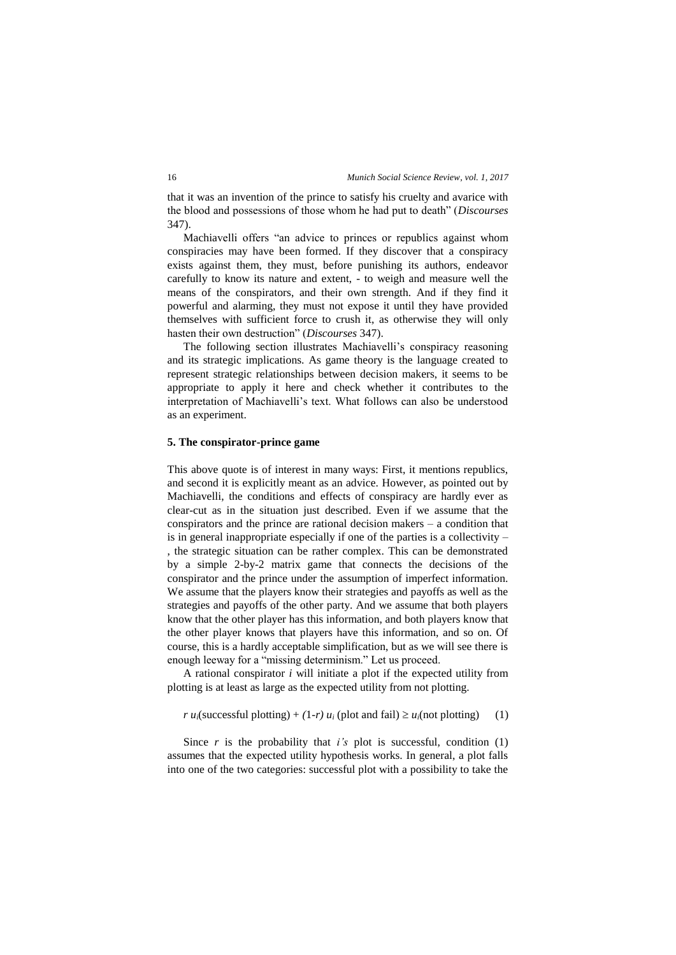that it was an invention of the prince to satisfy his cruelty and avarice with the blood and possessions of those whom he had put to death" (*Discourses* 347).

Machiavelli offers "an advice to princes or republics against whom conspiracies may have been formed. If they discover that a conspiracy exists against them, they must, before punishing its authors, endeavor carefully to know its nature and extent, - to weigh and measure well the means of the conspirators, and their own strength. And if they find it powerful and alarming, they must not expose it until they have provided themselves with sufficient force to crush it, as otherwise they will only hasten their own destruction" (*Discourses* 347).

The following section illustrates Machiavelli's conspiracy reasoning and its strategic implications. As game theory is the language created to represent strategic relationships between decision makers, it seems to be appropriate to apply it here and check whether it contributes to the interpretation of Machiavelli's text. What follows can also be understood as an experiment.

# **5. The conspirator-prince game**

This above quote is of interest in many ways: First, it mentions republics, and second it is explicitly meant as an advice. However, as pointed out by Machiavelli, the conditions and effects of conspiracy are hardly ever as clear-cut as in the situation just described. Even if we assume that the conspirators and the prince are rational decision makers  $-$  a condition that is in general inappropriate especially if one of the parties is a collectivity – , the strategic situation can be rather complex. This can be demonstrated by a simple 2-by-2 matrix game that connects the decisions of the conspirator and the prince under the assumption of imperfect information. We assume that the players know their strategies and payoffs as well as the strategies and payoffs of the other party. And we assume that both players know that the other player has this information, and both players know that the other player knows that players have this information, and so on. Of course, this is a hardly acceptable simplification, but as we will see there is enough leeway for a "missing determinism." Let us proceed.

A rational conspirator *i* will initiate a plot if the expected utility from plotting is at least as large as the expected utility from not plotting.

 $r u_i$ (successful plotting) + (1-*r*)  $u_i$  (plot and fail)  $\ge u_i$ (not plotting) (1)

Since  $r$  is the probability that  $i$ 's plot is successful, condition (1) assumes that the expected utility hypothesis works. In general, a plot falls into one of the two categories: successful plot with a possibility to take the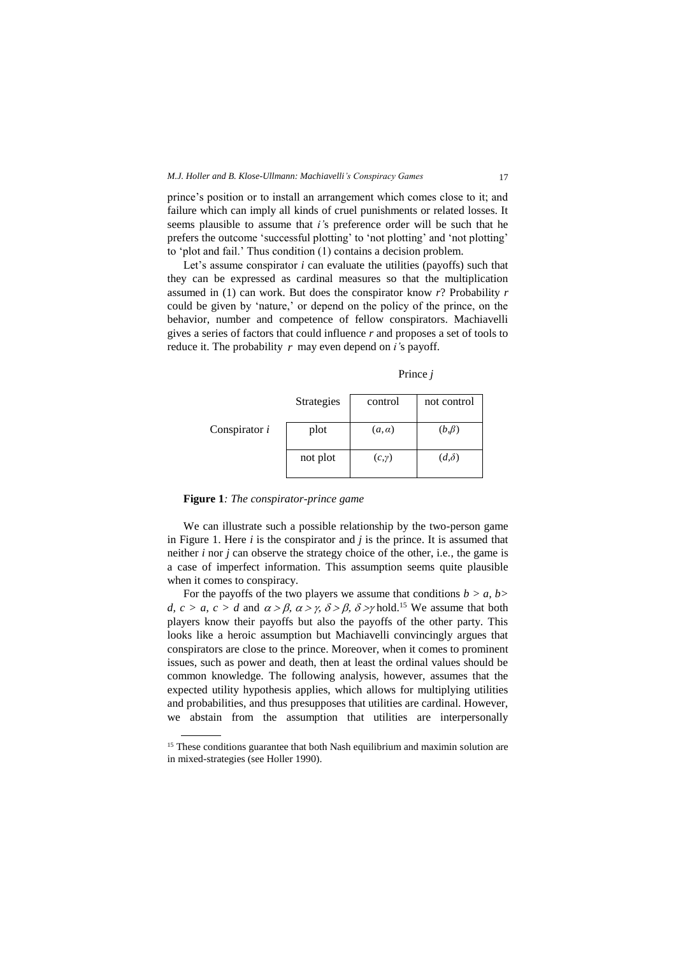prince's position or to install an arrangement which comes close to it; and failure which can imply all kinds of cruel punishments or related losses. It seems plausible to assume that *i'*s preference order will be such that he prefers the outcome 'successful plotting' to 'not plotting' and 'not plotting' to 'plot and fail.' Thus condition (1) contains a decision problem.

Let's assume conspirator *i* can evaluate the utilities (payoffs) such that they can be expressed as cardinal measures so that the multiplication assumed in (1) can work. But does the conspirator know *r*? Probability *r* could be given by 'nature,' or depend on the policy of the prince, on the behavior, number and competence of fellow conspirators. Machiavelli gives a series of factors that could influence *r* and proposes a set of tools to reduce it. The probability *r* may even depend on *i'*s payoff.

Prince *j*

|                 | Strategies | control       | not control  |
|-----------------|------------|---------------|--------------|
| Conspirator $i$ | plot       | $(a, \alpha)$ | $(b,\beta)$  |
|                 | not plot   | $(c, \gamma)$ | $(d,\delta)$ |

**Figure 1***: The conspirator-prince game*

 $\overline{a}$ 

We can illustrate such a possible relationship by the two-person game in Figure 1. Here *i* is the conspirator and *j* is the prince. It is assumed that neither *i* nor *j* can observe the strategy choice of the other, i.e., the game is a case of imperfect information. This assumption seems quite plausible when it comes to conspiracy.

For the payoffs of the two players we assume that conditions  $b > a$ ,  $b > b$ *d, c > a, c > d* and  $\alpha$  >  $\beta$ ,  $\alpha$  >  $\gamma$ ,  $\delta$  >  $\beta$ ,  $\delta$  > $\gamma$  hold.<sup>15</sup> We assume that both players know their payoffs but also the payoffs of the other party. This looks like a heroic assumption but Machiavelli convincingly argues that conspirators are close to the prince. Moreover, when it comes to prominent issues, such as power and death, then at least the ordinal values should be common knowledge. The following analysis, however, assumes that the expected utility hypothesis applies, which allows for multiplying utilities and probabilities, and thus presupposes that utilities are cardinal. However, we abstain from the assumption that utilities are interpersonally

<sup>&</sup>lt;sup>15</sup> These conditions guarantee that both Nash equilibrium and maximin solution are in mixed-strategies (see Holler 1990).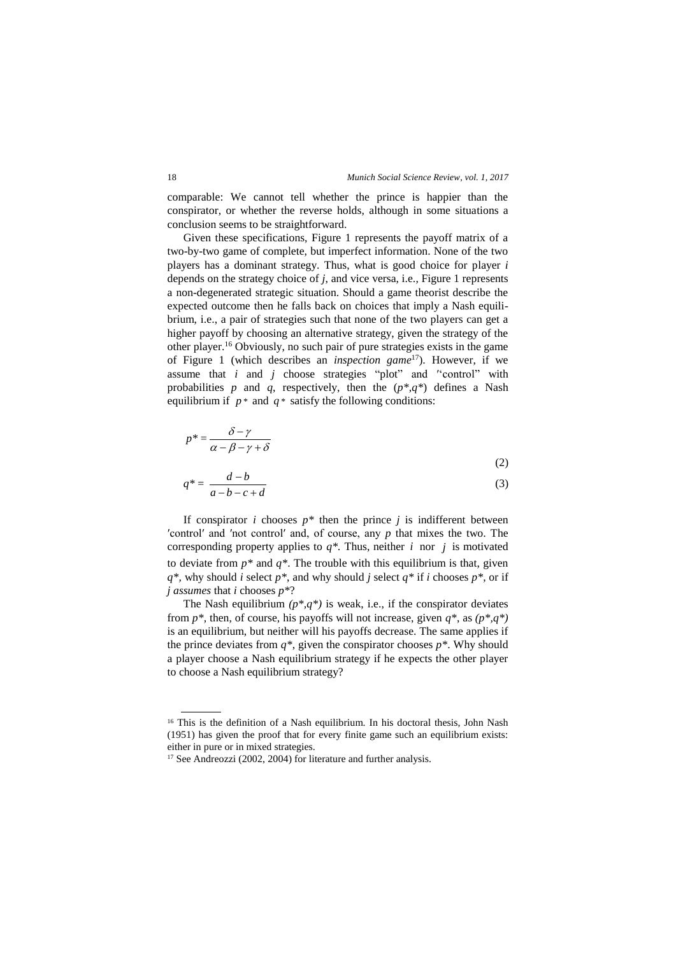comparable: We cannot tell whether the prince is happier than the conspirator, or whether the reverse holds, although in some situations a conclusion seems to be straightforward.

Given these specifications, Figure 1 represents the payoff matrix of a two-by-two game of complete, but imperfect information. None of the two players has a dominant strategy. Thus, what is good choice for player *i* depends on the strategy choice of *j*, and vice versa, i.e., Figure 1 represents a non-degenerated strategic situation. Should a game theorist describe the expected outcome then he falls back on choices that imply a Nash equilibrium, i.e., a pair of strategies such that none of the two players can get a higher payoff by choosing an alternative strategy, given the strategy of the other player.<sup>16</sup> Obviously, no such pair of pure strategies exists in the game of Figure 1 (which describes an *inspection game* <sup>17</sup>). However, if we assume that  $i$  and  $j$  choose strategies "plot" and "control" with probabilities *p* and *q*, respectively, then the  $(p^*, q^*)$  defines a Nash equilibrium if  $p^*$  and  $q^*$  satisfy the following conditions:

$$
p^* = \frac{\delta - \gamma}{\alpha - \beta - \gamma + \delta}
$$
  
(2)

$$
q^* = \frac{a - b}{a - b - c + d} \tag{3}
$$

If conspirator *i* chooses  $p^*$  then the prince *j* is indifferent between ′control′ and ′not control′ and, of course, any *p* that mixes the two. The corresponding property applies to  $q^*$ . Thus, neither *i* nor *j* is motivated to deviate from  $p^*$  and  $q^*$ . The trouble with this equilibrium is that, given *q\*,* why should *i* select *p\**, and why should *j* select *q\** if *i* chooses *p\**, or if *j assumes* that *i* chooses *p\**?

The Nash equilibrium  $(p^*,q^*)$  is weak, i.e., if the conspirator deviates from  $p^*$ , then, of course, his payoffs will not increase, given  $q^*$ , as  $(p^*q^*)$ is an equilibrium, but neither will his payoffs decrease. The same applies if the prince deviates from  $q^*$ , given the conspirator chooses  $p^*$ . Why should a player choose a Nash equilibrium strategy if he expects the other player to choose a Nash equilibrium strategy?

<sup>&</sup>lt;sup>16</sup> This is the definition of a Nash equilibrium. In his doctoral thesis, John Nash (1951) has given the proof that for every finite game such an equilibrium exists: either in pure or in mixed strategies.

<sup>&</sup>lt;sup>17</sup> See Andreozzi (2002, 2004) for literature and further analysis.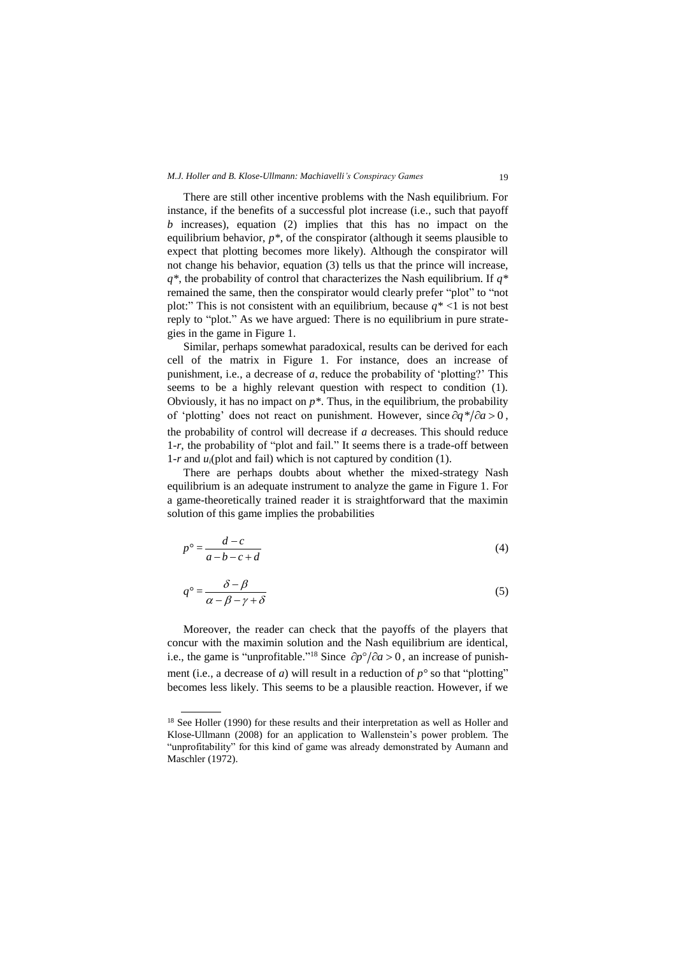# *M.J. Holler and B. Klose-Ullmann: Machiavelli's Conspiracy Games* 19

There are still other incentive problems with the Nash equilibrium. For instance, if the benefits of a successful plot increase (i.e., such that payoff *b* increases), equation (2) implies that this has no impact on the equilibrium behavior,  $p^*$ , of the conspirator (although it seems plausible to expect that plotting becomes more likely). Although the conspirator will not change his behavior, equation (3) tells us that the prince will increase, *q\**, the probability of control that characterizes the Nash equilibrium. If *q\** remained the same, then the conspirator would clearly prefer "plot" to "not plot:" This is not consistent with an equilibrium, because  $q^*$  <1 is not best reply to "plot." As we have argued: There is no equilibrium in pure strategies in the game in Figure 1.

Similar, perhaps somewhat paradoxical, results can be derived for each cell of the matrix in Figure 1. For instance, does an increase of punishment, i.e., a decrease of *a*, reduce the probability of 'plotting?' This seems to be a highly relevant question with respect to condition (1). Obviously, it has no impact on  $p^*$ . Thus, in the equilibrium, the probability of 'plotting' does not react on punishment. However, since  $\partial q^* / \partial a > 0$ , the probability of control will decrease if *a* decreases. This should reduce 1*-r*, the probability of "plot and fail." It seems there is a trade-off between 1*-r* and *ui*(plot and fail) which is not captured by condition (1).

There are perhaps doubts about whether the mixed-strategy Nash equilibrium is an adequate instrument to analyze the game in Figure 1. For a game-theoretically trained reader it is straightforward that the maximin solution of this game implies the probabilities

$$
p^{\circ} = \frac{d - c}{a - b - c + d} \tag{4}
$$

$$
q^{\circ} = \frac{\delta - \beta}{\alpha - \beta - \gamma + \delta} \tag{5}
$$

Moreover, the reader can check that the payoffs of the players that concur with the maximin solution and the Nash equilibrium are identical, i.e., the game is "unprofitable."<sup>18</sup> Since  $\partial p^{\circ}/\partial a > 0$ , an increase of punishment (i.e., a decrease of *a*) will result in a reduction of  $p^{\circ}$  so that "plotting" becomes less likely. This seems to be a plausible reaction. However, if we

<sup>&</sup>lt;sup>18</sup> See Holler (1990) for these results and their interpretation as well as Holler and Klose-Ullmann (2008) for an application to Wallenstein's power problem. The "unprofitability" for this kind of game was already demonstrated by Aumann and Maschler (1972).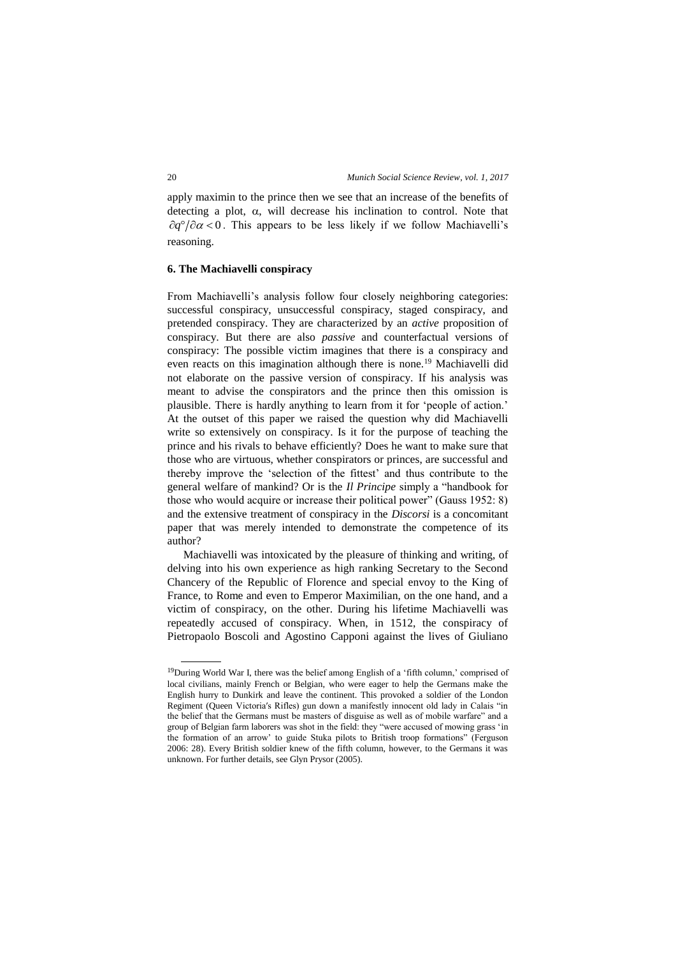apply maximin to the prince then we see that an increase of the benefits of detecting a plot,  $\alpha$ , will decrease his inclination to control. Note that  $\partial q^{\circ}/\partial \alpha$  < 0. This appears to be less likely if we follow Machiavelli's reasoning.

#### **6. The Machiavelli conspiracy**

From Machiavelli's analysis follow four closely neighboring categories: successful conspiracy, unsuccessful conspiracy, staged conspiracy, and pretended conspiracy. They are characterized by an *active* proposition of conspiracy. But there are also *passive* and counterfactual versions of conspiracy: The possible victim imagines that there is a conspiracy and even reacts on this imagination although there is none.<sup>19</sup> Machiavelli did not elaborate on the passive version of conspiracy. If his analysis was meant to advise the conspirators and the prince then this omission is plausible. There is hardly anything to learn from it for 'people of action.' At the outset of this paper we raised the question why did Machiavelli write so extensively on conspiracy. Is it for the purpose of teaching the prince and his rivals to behave efficiently? Does he want to make sure that those who are virtuous, whether conspirators or princes, are successful and thereby improve the 'selection of the fittest' and thus contribute to the general welfare of mankind? Or is the *Il Principe* simply a "handbook for those who would acquire or increase their political power" (Gauss 1952: 8) and the extensive treatment of conspiracy in the *Discorsi* is a concomitant paper that was merely intended to demonstrate the competence of its author?

Machiavelli was intoxicated by the pleasure of thinking and writing, of delving into his own experience as high ranking Secretary to the Second Chancery of the Republic of Florence and special envoy to the King of France, to Rome and even to Emperor Maximilian, on the one hand, and a victim of conspiracy, on the other. During his lifetime Machiavelli was repeatedly accused of conspiracy. When, in 1512, the conspiracy of Pietropaolo Boscoli and Agostino Capponi against the lives of Giuliano

<sup>19</sup>During World War I, there was the belief among English of a 'fifth column,' comprised of local civilians, mainly French or Belgian, who were eager to help the Germans make the English hurry to Dunkirk and leave the continent. This provoked a soldier of the London Regiment (Queen Victoria′s Rifles) gun down a manifestly innocent old lady in Calais "in the belief that the Germans must be masters of disguise as well as of mobile warfare" and a group of Belgian farm laborers was shot in the field: they "were accused of mowing grass 'in the formation of an arrow' to guide Stuka pilots to British troop formations" (Ferguson 2006: 28). Every British soldier knew of the fifth column, however, to the Germans it was unknown. For further details, see Glyn Prysor (2005).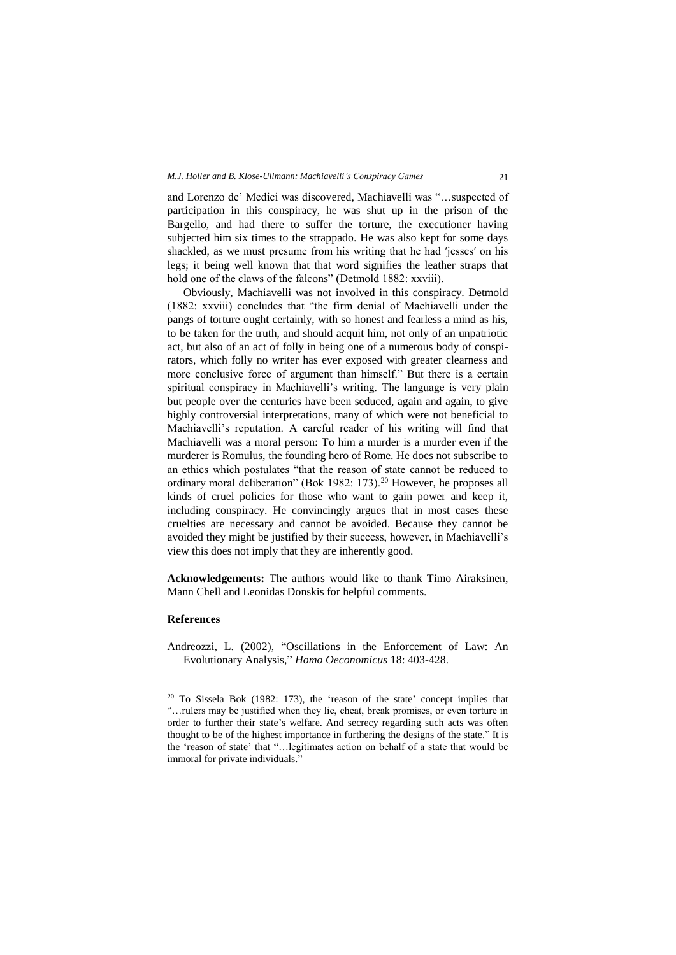and Lorenzo de' Medici was discovered, Machiavelli was "…suspected of participation in this conspiracy, he was shut up in the prison of the Bargello, and had there to suffer the torture, the executioner having subjected him six times to the strappado. He was also kept for some days shackled, as we must presume from his writing that he had ′jesses′ on his legs; it being well known that that word signifies the leather straps that hold one of the claws of the falcons" (Detmold 1882: xxviii).

Obviously, Machiavelli was not involved in this conspiracy. Detmold (1882: xxviii) concludes that "the firm denial of Machiavelli under the pangs of torture ought certainly, with so honest and fearless a mind as his, to be taken for the truth, and should acquit him, not only of an unpatriotic act, but also of an act of folly in being one of a numerous body of conspirators, which folly no writer has ever exposed with greater clearness and more conclusive force of argument than himself." But there is a certain spiritual conspiracy in Machiavelli's writing. The language is very plain but people over the centuries have been seduced, again and again, to give highly controversial interpretations, many of which were not beneficial to Machiavelli's reputation. A careful reader of his writing will find that Machiavelli was a moral person: To him a murder is a murder even if the murderer is Romulus, the founding hero of Rome. He does not subscribe to an ethics which postulates "that the reason of state cannot be reduced to ordinary moral deliberation" (Bok 1982: 173).<sup>20</sup> However, he proposes all kinds of cruel policies for those who want to gain power and keep it, including conspiracy. He convincingly argues that in most cases these cruelties are necessary and cannot be avoided. Because they cannot be avoided they might be justified by their success, however, in Machiavelli's view this does not imply that they are inherently good.

**Acknowledgements:** The authors would like to thank Timo Airaksinen, Mann Chell and Leonidas Donskis for helpful comments.

#### **References**

 $\overline{a}$ 

Andreozzi, L. (2002), "Oscillations in the Enforcement of Law: An Evolutionary Analysis," *Homo Oeconomicus* 18: 403-428.

<sup>20</sup> To Sissela Bok (1982: 173), the 'reason of the state' concept implies that "…rulers may be justified when they lie, cheat, break promises, or even torture in order to further their state's welfare. And secrecy regarding such acts was often thought to be of the highest importance in furthering the designs of the state." It is the 'reason of state' that "…legitimates action on behalf of a state that would be immoral for private individuals."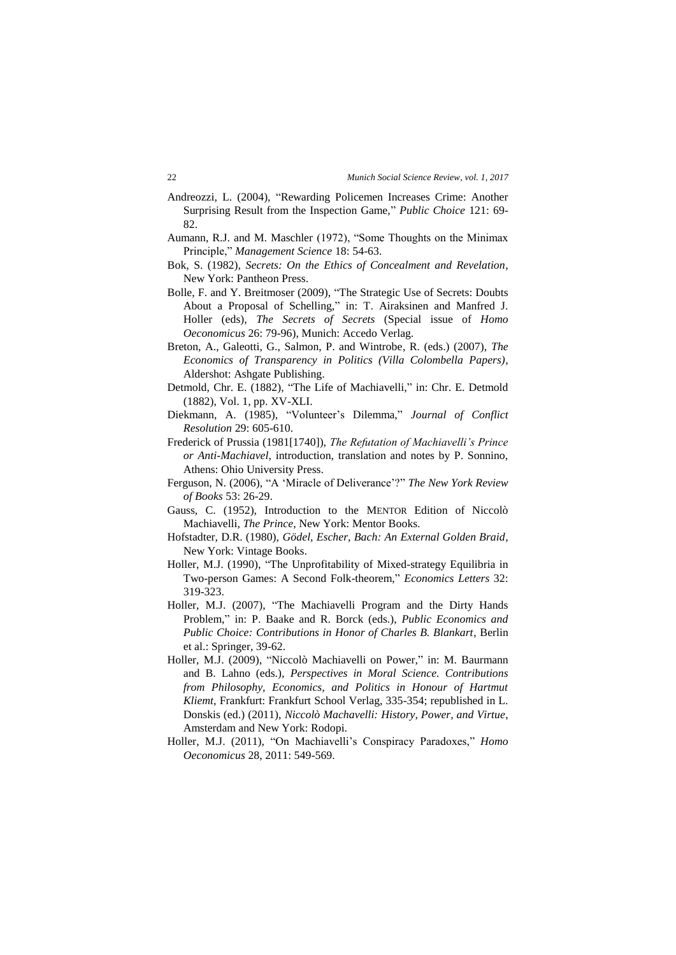- Andreozzi, L. (2004), "Rewarding Policemen Increases Crime: Another Surprising Result from the Inspection Game," *Public Choice* 121: 69- 82.
- Aumann, R.J. and M. Maschler (1972), "Some Thoughts on the Minimax Principle," *Management Science* 18: 54-63.
- Bok, S. (1982), *Secrets: On the Ethics of Concealment and Revelation*, New York: Pantheon Press.
- Bolle, F. and Y. Breitmoser (2009), "The Strategic Use of Secrets: Doubts About a Proposal of Schelling," in: T. Airaksinen and Manfred J. Holler (eds), *The Secrets of Secrets* (Special issue of *Homo Oeconomicus* 26: 79-96), Munich: Accedo Verlag.
- Breton, A., Galeotti, G., Salmon, P. and Wintrobe, R. (eds.) (2007), *The Economics of Transparency in Politics (Villa Colombella Papers)*, Aldershot: Ashgate Publishing.
- Detmold, Chr. E. (1882), "The Life of Machiavelli," in: Chr. E. Detmold (1882), Vol. 1, pp. XV-XLI.
- Diekmann, A. (1985), "Volunteer's Dilemma," *Journal of Conflict Resolution* 29: 605-610.
- Frederick of Prussia (1981[1740]), *The Refutation of Machiavelli's Prince or Anti-Machiavel*, introduction, translation and notes by P. Sonnino, Athens: Ohio University Press.
- Ferguson, N. (2006), "A 'Miracle of Deliverance'?" *The New York Review of Books* 53: 26-29.
- Gauss, C. (1952), Introduction to the MENTOR Edition of Niccolò Machiavelli, *The Prince*, New York: Mentor Books.
- Hofstadter, D.R. (1980), *Gödel, Escher, Bach: An External Golden Braid*, New York: Vintage Books.
- Holler, M.J. (1990), "The Unprofitability of Mixed-strategy Equilibria in Two-person Games: A Second Folk-theorem," *Economics Letters* 32: 319-323.
- Holler, M.J. (2007), "The Machiavelli Program and the Dirty Hands Problem," in: P. Baake and R. Borck (eds.), *Public Economics and Public Choice: Contributions in Honor of Charles B. Blankart*, Berlin et al.: Springer, 39-62.
- Holler, M.J. (2009), "Niccolò Machiavelli on Power," in: M. Baurmann and B. Lahno (eds.), *Perspectives in Moral Science. Contributions from Philosophy, Economics, and Politics in Honour of Hartmut Kliemt*, Frankfurt: Frankfurt School Verlag, 335-354; republished in L. Donskis (ed.) (2011), *Niccolò Machavelli: History, Power, and Virtue*, Amsterdam and New York: Rodopi.
- Holler, M.J. (2011), "On Machiavelli's Conspiracy Paradoxes," *Homo Oeconomicus* 28, 2011: 549-569.